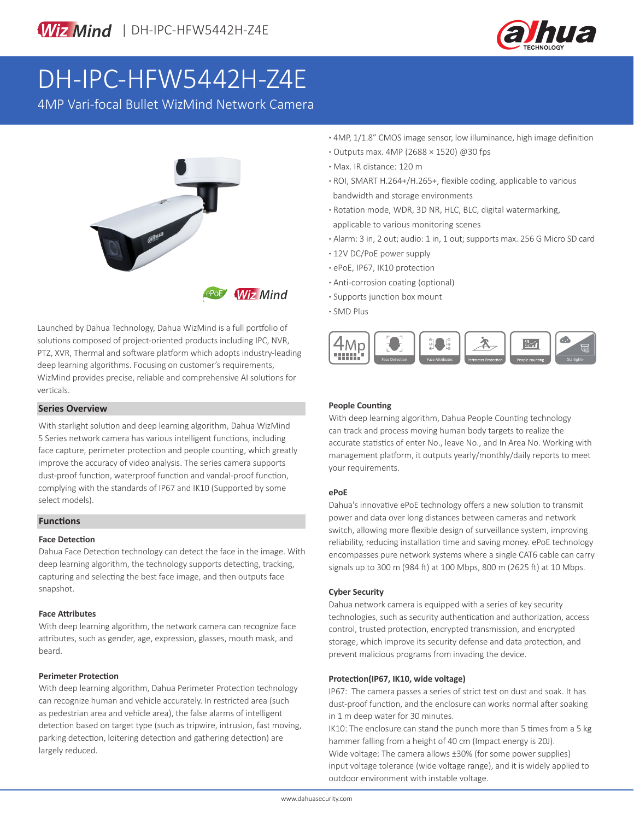



# DH-IPC-HFW5442H-Z4E

4MP Vari-focal Bullet WizMind Network Camera



Launched by Dahua Technology, Dahua WizMind is a full portfolio of solutions composed of project-oriented products including IPC, NVR, PTZ, XVR, Thermal and software platform which adopts industry-leading deep learning algorithms. Focusing on customer's requirements, WizMind provides precise, reliable and comprehensive AI solutions for verticals.

#### **Series Overview**

With starlight solution and deep learning algorithm, Dahua WizMind 5 Series network camera has various intelligent functions, including face capture, perimeter protection and people counting, which greatly improve the accuracy of video analysis. The series camera supports dust-proof function, waterproof function and vandal-proof function, complying with the standards of IP67 and IK10 (Supported by some select models).

#### **Functions**

#### **Face Detection**

Dahua Face Detection technology can detect the face in the image. With deep learning algorithm, the technology supports detecting, tracking, capturing and selecting the best face image, and then outputs face snapshot.

#### **Face Attributes**

With deep learning algorithm, the network camera can recognize face attributes, such as gender, age, expression, glasses, mouth mask, and beard.

#### **Perimeter Protection**

With deep learning algorithm, Dahua Perimeter Protection technology can recognize human and vehicle accurately. In restricted area (such as pedestrian area and vehicle area), the false alarms of intelligent detection based on target type (such as tripwire, intrusion, fast moving, parking detection, loitering detection and gathering detection) are largely reduced.

- **·** 4MP, 1/1.8" CMOS image sensor, low illuminance, high image definition
- **·** Outputs max. 4MP (2688 × 1520) @30 fps
- **·** Max. IR distance: 120 m
- **·** ROI, SMART H.264+/H.265+, flexible coding, applicable to various bandwidth and storage environments
- **·** Rotation mode, WDR, 3D NR, HLC, BLC, digital watermarking, applicable to various monitoring scenes
- **·** Alarm: 3 in, 2 out; audio: 1 in, 1 out; supports max. 256 G Micro SD card
- **·** 12V DC/PoE power supply
- **·** ePoE, IP67, IK10 protection
- **·** Anti-corrosion coating (optional)
- **·** Supports junction box mount
- **·** SMD Plus



#### **People Counting**

With deep learning algorithm, Dahua People Counting technology can track and process moving human body targets to realize the accurate statistics of enter No., leave No., and In Area No. Working with management platform, it outputs yearly/monthly/daily reports to meet your requirements.

#### **ePoE**

Dahua's innovative ePoE technology offers a new solution to transmit power and data over long distances between cameras and network switch, allowing more flexible design of surveillance system, improving reliability, reducing installation time and saving money. ePoE technology encompasses pure network systems where a single CAT6 cable can carry signals up to 300 m (984 ft) at 100 Mbps, 800 m (2625 ft) at 10 Mbps.

#### **Cyber Security**

Dahua network camera is equipped with a series of key security technologies, such as security authentication and authorization, access control, trusted protection, encrypted transmission, and encrypted storage, which improve its security defense and data protection, and prevent malicious programs from invading the device.

#### **Protection(IP67, IK10, wide voltage)**

IP67: The camera passes a series of strict test on dust and soak. It has dust-proof function, and the enclosure can works normal after soaking in 1 m deep water for 30 minutes.

IK10: The enclosure can stand the punch more than 5 times from a 5 kg hammer falling from a height of 40 cm (Impact energy is 20J). Wide voltage: The camera allows ±30% (for some power supplies) input voltage tolerance (wide voltage range), and it is widely applied to outdoor environment with instable voltage.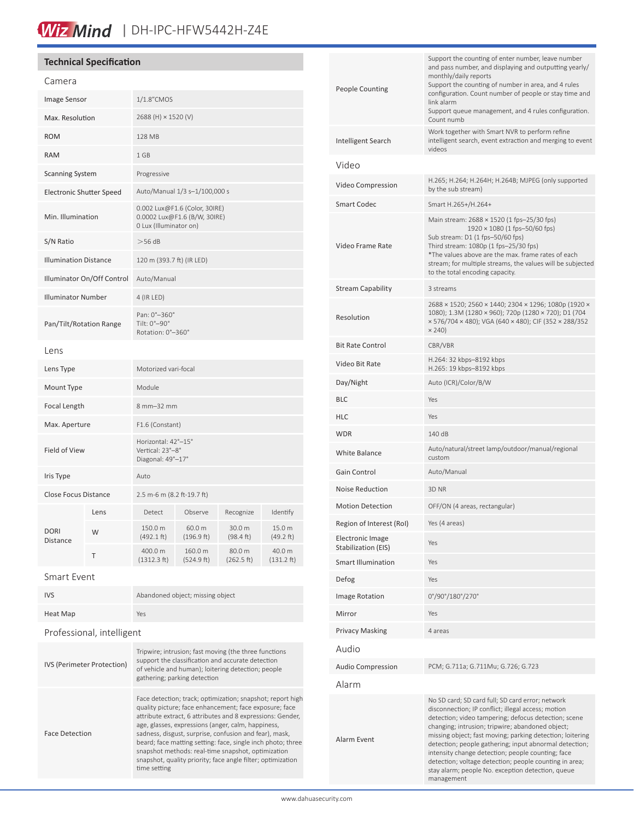# Wiz Mind | DH-IPC-HFW5442H-Z4E

## **Technical Specification**

| Camera                          |      |                                                                                         |                       |                               |                                |
|---------------------------------|------|-----------------------------------------------------------------------------------------|-----------------------|-------------------------------|--------------------------------|
| Image Sensor                    |      | 1/1.8"CMOS                                                                              |                       |                               |                                |
| Max. Resolution                 |      | 2688 (H) × 1520 (V)                                                                     |                       |                               |                                |
| <b>ROM</b>                      |      | 128 MB                                                                                  |                       |                               |                                |
| <b>RAM</b>                      |      | 1 GB                                                                                    |                       |                               |                                |
| <b>Scanning System</b>          |      | Progressive                                                                             |                       |                               |                                |
| <b>Electronic Shutter Speed</b> |      | Auto/Manual 1/3 s-1/100,000 s                                                           |                       |                               |                                |
| Min. Illumination               |      | 0.002 Lux@F1.6 (Color, 30IRE)<br>0.0002 Lux@F1.6 (B/W, 30IRE)<br>0 Lux (Illuminator on) |                       |                               |                                |
| S/N Ratio                       |      | $>$ 56 dB                                                                               |                       |                               |                                |
| <b>Illumination Distance</b>    |      | 120 m (393.7 ft) (IR LED)                                                               |                       |                               |                                |
| Illuminator On/Off Control      |      | Auto/Manual                                                                             |                       |                               |                                |
| <b>Illuminator Number</b>       |      | 4 (IR LED)                                                                              |                       |                               |                                |
| Pan/Tilt/Rotation Range         |      | Pan: 0°-360°<br>Tilt: 0°-90°<br>Rotation: 0°-360°                                       |                       |                               |                                |
| Lens                            |      |                                                                                         |                       |                               |                                |
| Lens Type                       |      | Motorized vari-focal                                                                    |                       |                               |                                |
| Mount Type                      |      | Module                                                                                  |                       |                               |                                |
| Focal Length                    |      | 8 mm-32 mm                                                                              |                       |                               |                                |
| Max. Aperture                   |      | F1.6 (Constant)                                                                         |                       |                               |                                |
| Field of View                   |      | Horizontal: 42°-15°<br>Vertical: 23°-8°<br>Diagonal: 49°-17°                            |                       |                               |                                |
| Iris Type                       |      | Auto                                                                                    |                       |                               |                                |
| <b>Close Focus Distance</b>     |      | 2.5 m-6 m (8.2 ft-19.7 ft)                                                              |                       |                               |                                |
| <b>DORI</b><br>Distance         | Lens | Detect                                                                                  | Observe               | Recognize                     | Identify                       |
|                                 | W    | 150.0 m<br>(492.1 ft)                                                                   | 60.0 m<br>(196.9 ft)  | 30.0 m<br>$(98.4 \text{ ft})$ | 15.0 m<br>(49.2 ft)            |
|                                 | Τ    | 400.0 m<br>(1312.3 ft)                                                                  | 160.0 m<br>(524.9 ft) | 80.0 m<br>(262.5 ft)          | 40.0 m<br>$(131.2 \text{ ft})$ |
| $C$ mart $E$ uant               |      |                                                                                         |                       |                               |                                |

| <b>IVS</b>                        | Abandoned object; missing object                                                                                                                                                                                                                                                                   |  |  |  |  |
|-----------------------------------|----------------------------------------------------------------------------------------------------------------------------------------------------------------------------------------------------------------------------------------------------------------------------------------------------|--|--|--|--|
| Heat Map                          | Yes                                                                                                                                                                                                                                                                                                |  |  |  |  |
| Professional, intelligent         |                                                                                                                                                                                                                                                                                                    |  |  |  |  |
| <b>IVS (Perimeter Protection)</b> | Tripwire; intrusion; fast moving (the three functions<br>support the classification and accurate detection<br>of vehicle and human); loitering detection; people<br>gathering; parking detection                                                                                                   |  |  |  |  |
| <b>Face Detection</b>             | Face detection; track; optimization; snapshot; report high<br>quality picture; face enhancement; face exposure; face<br>attribute extract, 6 attributes and 8 expressions: Gender,<br>age, glasses, expressions (anger, calm, happiness,<br>sadness, disgust, surprise, confusion and fear), mask, |  |  |  |  |

time setting

sadness, disgust, surprise, confusion and fear), mask, beard; face matting setting: face, single inch photo; three snapshot methods: real-time snapshot, optimization snapshot, quality priority; face angle filter; optimization

| <b>People Counting</b>                         | Support the counting of enter number, leave number<br>and pass number, and displaying and outputting yearly/<br>monthly/daily reports<br>Support the counting of number in area, and 4 rules<br>configuration. Count number of people or stay time and<br>link alarm<br>Support queue management, and 4 rules configuration.<br>Count numb                                                                                                                                                                                  |  |  |
|------------------------------------------------|-----------------------------------------------------------------------------------------------------------------------------------------------------------------------------------------------------------------------------------------------------------------------------------------------------------------------------------------------------------------------------------------------------------------------------------------------------------------------------------------------------------------------------|--|--|
| Intelligent Search                             | Work together with Smart NVR to perform refine<br>intelligent search, event extraction and merging to event<br>videos                                                                                                                                                                                                                                                                                                                                                                                                       |  |  |
| Video                                          |                                                                                                                                                                                                                                                                                                                                                                                                                                                                                                                             |  |  |
| Video Compression                              | H.265; H.264; H.264H; H.264B; MJPEG (only supported<br>by the sub stream)                                                                                                                                                                                                                                                                                                                                                                                                                                                   |  |  |
| Smart Codec                                    | Smart H.265+/H.264+                                                                                                                                                                                                                                                                                                                                                                                                                                                                                                         |  |  |
| Video Frame Rate                               | Main stream: 2688 × 1520 (1 fps-25/30 fps)<br>1920 × 1080 (1 fps-50/60 fps)<br>Sub stream: D1 (1 fps-50/60 fps)<br>Third stream: 1080p (1 fps-25/30 fps)<br>*The values above are the max. frame rates of each<br>stream; for multiple streams, the values will be subjected<br>to the total encoding capacity.                                                                                                                                                                                                             |  |  |
| Stream Capability                              | 3 streams                                                                                                                                                                                                                                                                                                                                                                                                                                                                                                                   |  |  |
| Resolution                                     | 2688 × 1520; 2560 × 1440; 2304 × 1296; 1080p (1920 ×<br>1080); 1.3M (1280 × 960); 720p (1280 × 720); D1 (704<br>× 576/704 × 480); VGA (640 × 480); CIF (352 × 288/352<br>$\times$ 240)                                                                                                                                                                                                                                                                                                                                      |  |  |
| <b>Bit Rate Control</b>                        | CBR/VBR                                                                                                                                                                                                                                                                                                                                                                                                                                                                                                                     |  |  |
| Video Bit Rate                                 | H.264: 32 kbps-8192 kbps<br>H.265: 19 kbps-8192 kbps                                                                                                                                                                                                                                                                                                                                                                                                                                                                        |  |  |
| Day/Night                                      | Auto (ICR)/Color/B/W                                                                                                                                                                                                                                                                                                                                                                                                                                                                                                        |  |  |
| BLC                                            | Yes                                                                                                                                                                                                                                                                                                                                                                                                                                                                                                                         |  |  |
| HLC                                            | Yes                                                                                                                                                                                                                                                                                                                                                                                                                                                                                                                         |  |  |
| WDR                                            | 140 dB                                                                                                                                                                                                                                                                                                                                                                                                                                                                                                                      |  |  |
| White Balance                                  | Auto/natural/street lamp/outdoor/manual/regional<br>custom                                                                                                                                                                                                                                                                                                                                                                                                                                                                  |  |  |
| Gain Control                                   | Auto/Manual                                                                                                                                                                                                                                                                                                                                                                                                                                                                                                                 |  |  |
| Noise Reduction                                | 3D NR                                                                                                                                                                                                                                                                                                                                                                                                                                                                                                                       |  |  |
| <b>Motion Detection</b>                        | OFF/ON (4 areas, rectangular)                                                                                                                                                                                                                                                                                                                                                                                                                                                                                               |  |  |
| Region of Interest (RoI)                       | Yes (4 areas)                                                                                                                                                                                                                                                                                                                                                                                                                                                                                                               |  |  |
| <b>Electronic Image</b><br>Stabilization (EIS) | Yes                                                                                                                                                                                                                                                                                                                                                                                                                                                                                                                         |  |  |
| <b>Smart Illumination</b>                      | Yes                                                                                                                                                                                                                                                                                                                                                                                                                                                                                                                         |  |  |
| Defog                                          | Yes                                                                                                                                                                                                                                                                                                                                                                                                                                                                                                                         |  |  |
| <b>Image Rotation</b>                          | 0°/90°/180°/270°                                                                                                                                                                                                                                                                                                                                                                                                                                                                                                            |  |  |
| Mirror                                         | Yes                                                                                                                                                                                                                                                                                                                                                                                                                                                                                                                         |  |  |
| <b>Privacy Masking</b>                         | 4 areas                                                                                                                                                                                                                                                                                                                                                                                                                                                                                                                     |  |  |
| Audio                                          |                                                                                                                                                                                                                                                                                                                                                                                                                                                                                                                             |  |  |
| <b>Audio Compression</b>                       | PCM; G.711a; G.711Mu; G.726; G.723                                                                                                                                                                                                                                                                                                                                                                                                                                                                                          |  |  |
| Alarm                                          |                                                                                                                                                                                                                                                                                                                                                                                                                                                                                                                             |  |  |
| Alarm Event                                    | No SD card; SD card full; SD card error; network<br>disconnection; IP conflict; illegal access; motion<br>detection; video tampering; defocus detection; scene<br>changing; intrusion; tripwire; abandoned object;<br>missing object; fast moving; parking detection; loitering<br>detection; people gathering; input abnormal detection;<br>intensity change detection; people counting; face<br>detection; voltage detection; people counting in area;<br>stay alarm; people No. exception detection, queue<br>management |  |  |